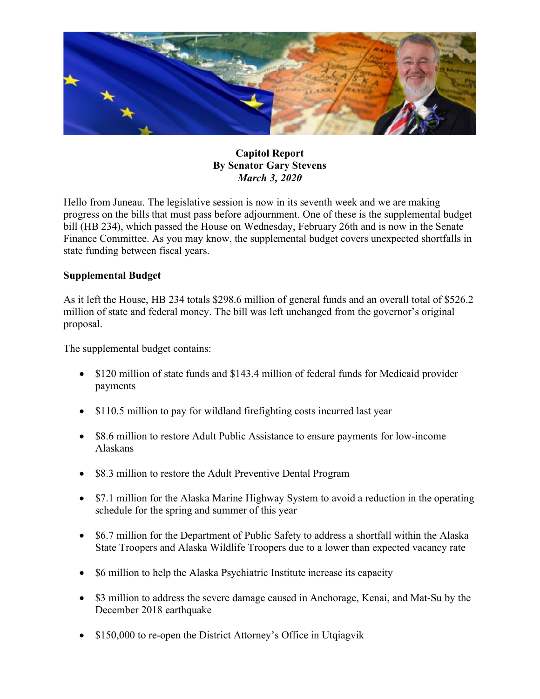

## **Capitol Report By Senator Gary Stevens** *March 3, 2020*

Hello from Juneau. The legislative session is now in its seventh week and we are making progress on the bills that must pass before adjournment. One of these is the supplemental budget bill (HB 234), which passed the House on Wednesday, February 26th and is now in the Senate Finance Committee. As you may know, the supplemental budget covers unexpected shortfalls in state funding between fiscal years.

### **Supplemental Budget**

As it left the House, HB 234 totals \$298.6 million of general funds and an overall total of \$526.2 million of state and federal money. The bill was left unchanged from the governor's original proposal.

The supplemental budget contains:

- \$120 million of state funds and \$143.4 million of federal funds for Medicaid provider payments
- \$110.5 million to pay for wildland firefighting costs incurred last year
- \$8.6 million to restore Adult Public Assistance to ensure payments for low-income Alaskans
- \$8.3 million to restore the Adult Preventive Dental Program
- \$7.1 million for the Alaska Marine Highway System to avoid a reduction in the operating schedule for the spring and summer of this year
- \$6.7 million for the Department of Public Safety to address a shortfall within the Alaska State Troopers and Alaska Wildlife Troopers due to a lower than expected vacancy rate
- \$6 million to help the Alaska Psychiatric Institute increase its capacity
- \$3 million to address the severe damage caused in Anchorage, Kenai, and Mat-Su by the December 2018 earthquake
- \$150,000 to re-open the District Attorney's Office in Utqiagvik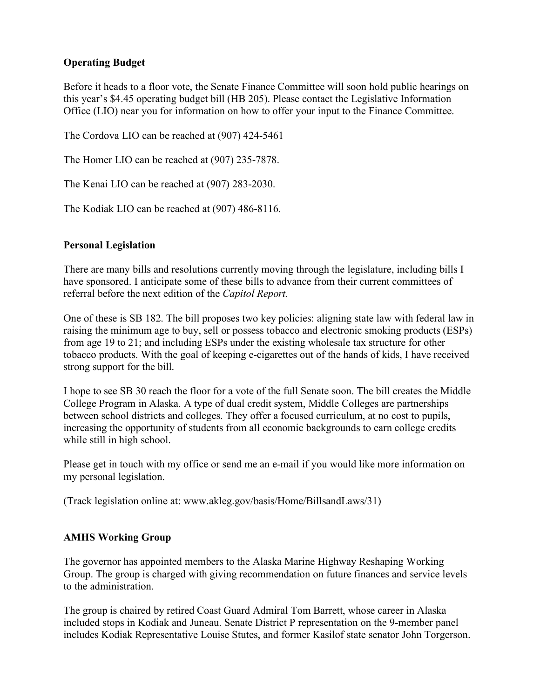# **Operating Budget**

Before it heads to a floor vote, the Senate Finance Committee will soon hold public hearings on this year's \$4.45 operating budget bill (HB 205). Please contact the Legislative Information Office (LIO) near you for information on how to offer your input to the Finance Committee.

The Cordova LIO can be reached at (907) 424-5461

The Homer LIO can be reached at (907) 235-7878.

The Kenai LIO can be reached at (907) 283-2030.

The Kodiak LIO can be reached at (907) 486-8116.

### **Personal Legislation**

There are many bills and resolutions currently moving through the legislature, including bills I have sponsored. I anticipate some of these bills to advance from their current committees of referral before the next edition of the *Capitol Report.*

One of these is SB 182. The bill proposes two key policies: aligning state law with federal law in raising the minimum age to buy, sell or possess tobacco and electronic smoking products (ESPs) from age 19 to 21; and including ESPs under the existing wholesale tax structure for other tobacco products. With the goal of keeping e-cigarettes out of the hands of kids, I have received strong support for the bill.

I hope to see SB 30 reach the floor for a vote of the full Senate soon. The bill creates the Middle College Program in Alaska. A type of dual credit system, Middle Colleges are partnerships between school districts and colleges. They offer a focused curriculum, at no cost to pupils, increasing the opportunity of students from all economic backgrounds to earn college credits while still in high school.

Please get in touch with my office or send me an e-mail if you would like more information on my personal legislation.

(Track legislation online at: www.akleg.gov/basis/Home/BillsandLaws/31)

### **AMHS Working Group**

The governor has appointed members to the Alaska Marine Highway Reshaping Working Group. The group is charged with giving recommendation on future finances and service levels to the administration.

The group is chaired by retired Coast Guard Admiral Tom Barrett, whose career in Alaska included stops in Kodiak and Juneau. Senate District P representation on the 9-member panel includes Kodiak Representative Louise Stutes, and former Kasilof state senator John Torgerson.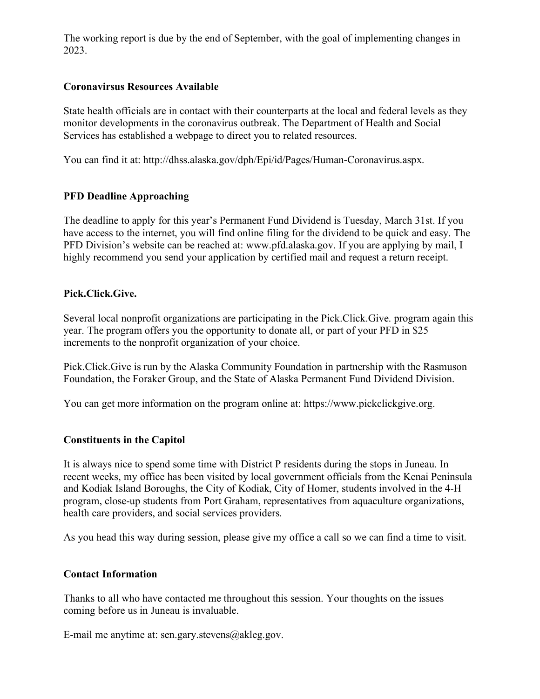The working report is due by the end of September, with the goal of implementing changes in 2023.

### **Coronavirsus Resources Available**

State health officials are in contact with their counterparts at the local and federal levels as they monitor developments in the coronavirus outbreak. The Department of Health and Social Services has established a webpage to direct you to related resources.

You can find it at: http://dhss.alaska.gov/dph/Epi/id/Pages/Human-Coronavirus.aspx.

### **PFD Deadline Approaching**

The deadline to apply for this year's Permanent Fund Dividend is Tuesday, March 31st. If you have access to the internet, you will find online filing for the dividend to be quick and easy. The PFD Division's website can be reached at: www.pfd.alaska.gov. If you are applying by mail, I highly recommend you send your application by certified mail and request a return receipt.

### **Pick.Click.Give.**

Several local nonprofit organizations are participating in the Pick.Click.Give. program again this year. The program offers you the opportunity to donate all, or part of your PFD in \$25 increments to the nonprofit organization of your choice.

Pick.Click.Give is run by the Alaska Community Foundation in partnership with the Rasmuson Foundation, the Foraker Group, and the State of Alaska Permanent Fund Dividend Division.

You can get more information on the program online at: https://www.pickclickgive.org.

### **Constituents in the Capitol**

It is always nice to spend some time with District P residents during the stops in Juneau. In recent weeks, my office has been visited by local government officials from the Kenai Peninsula and Kodiak Island Boroughs, the City of Kodiak, City of Homer, students involved in the 4-H program, close-up students from Port Graham, representatives from aquaculture organizations, health care providers, and social services providers.

As you head this way during session, please give my office a call so we can find a time to visit.

### **Contact Information**

Thanks to all who have contacted me throughout this session. Your thoughts on the issues coming before us in Juneau is invaluable.

E-mail me anytime at: sen.gary.stevens@akleg.gov.